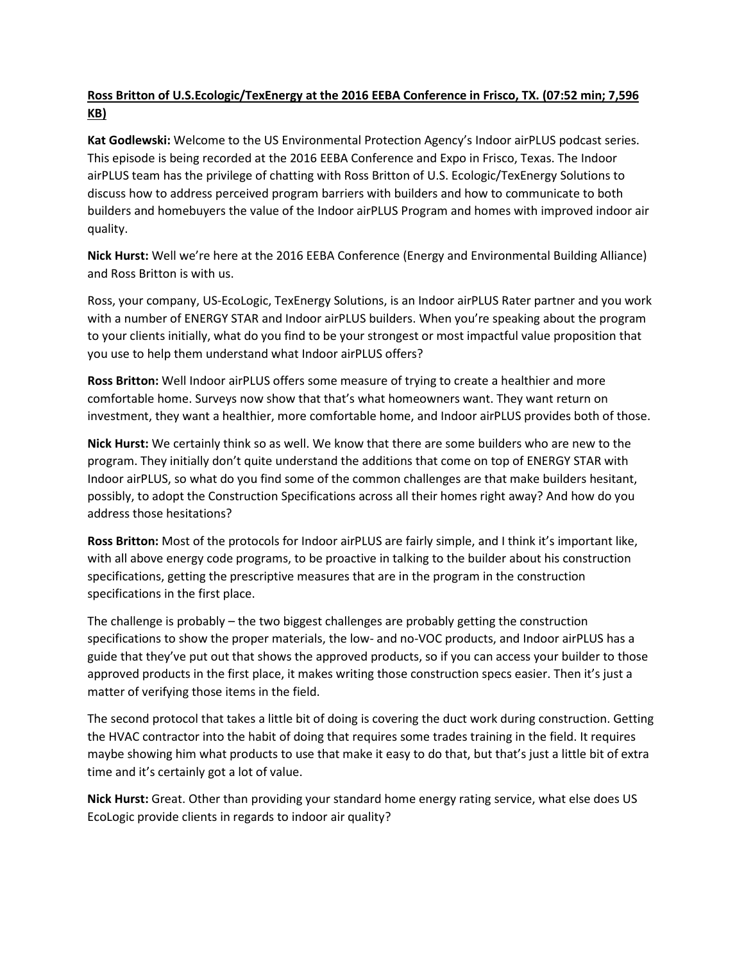## **Ross Britton of U.S.Ecologic/TexEnergy at the 2016 EEBA Conference in Frisco, TX. (07:52 min; 7,596 KB)**

**Kat Godlewski:** Welcome to the US Environmental Protection Agency's Indoor airPLUS podcast series. This episode is being recorded at the 2016 EEBA Conference and Expo in Frisco, Texas. The Indoor airPLUS team has the privilege of chatting with Ross Britton of U.S. Ecologic/TexEnergy Solutions to discuss how to address perceived program barriers with builders and how to communicate to both builders and homebuyers the value of the Indoor airPLUS Program and homes with improved indoor air quality.

**Nick Hurst:** Well we're here at the 2016 EEBA Conference (Energy and Environmental Building Alliance) and Ross Britton is with us.

Ross, your company, US-EcoLogic, TexEnergy Solutions, is an Indoor airPLUS Rater partner and you work with a number of ENERGY STAR and Indoor airPLUS builders. When you're speaking about the program to your clients initially, what do you find to be your strongest or most impactful value proposition that you use to help them understand what Indoor airPLUS offers?

**Ross Britton:** Well Indoor airPLUS offers some measure of trying to create a healthier and more comfortable home. Surveys now show that that's what homeowners want. They want return on investment, they want a healthier, more comfortable home, and Indoor airPLUS provides both of those.

**Nick Hurst:** We certainly think so as well. We know that there are some builders who are new to the program. They initially don't quite understand the additions that come on top of ENERGY STAR with Indoor airPLUS, so what do you find some of the common challenges are that make builders hesitant, possibly, to adopt the Construction Specifications across all their homes right away? And how do you address those hesitations?

**Ross Britton:** Most of the protocols for Indoor airPLUS are fairly simple, and I think it's important like, with all above energy code programs, to be proactive in talking to the builder about his construction specifications, getting the prescriptive measures that are in the program in the construction specifications in the first place.

The challenge is probably – the two biggest challenges are probably getting the construction specifications to show the proper materials, the low- and no-VOC products, and Indoor airPLUS has a guide that they've put out that shows the approved products, so if you can access your builder to those approved products in the first place, it makes writing those construction specs easier. Then it's just a matter of verifying those items in the field.

The second protocol that takes a little bit of doing is covering the duct work during construction. Getting the HVAC contractor into the habit of doing that requires some trades training in the field. It requires maybe showing him what products to use that make it easy to do that, but that's just a little bit of extra time and it's certainly got a lot of value.

**Nick Hurst:** Great. Other than providing your standard home energy rating service, what else does US EcoLogic provide clients in regards to indoor air quality?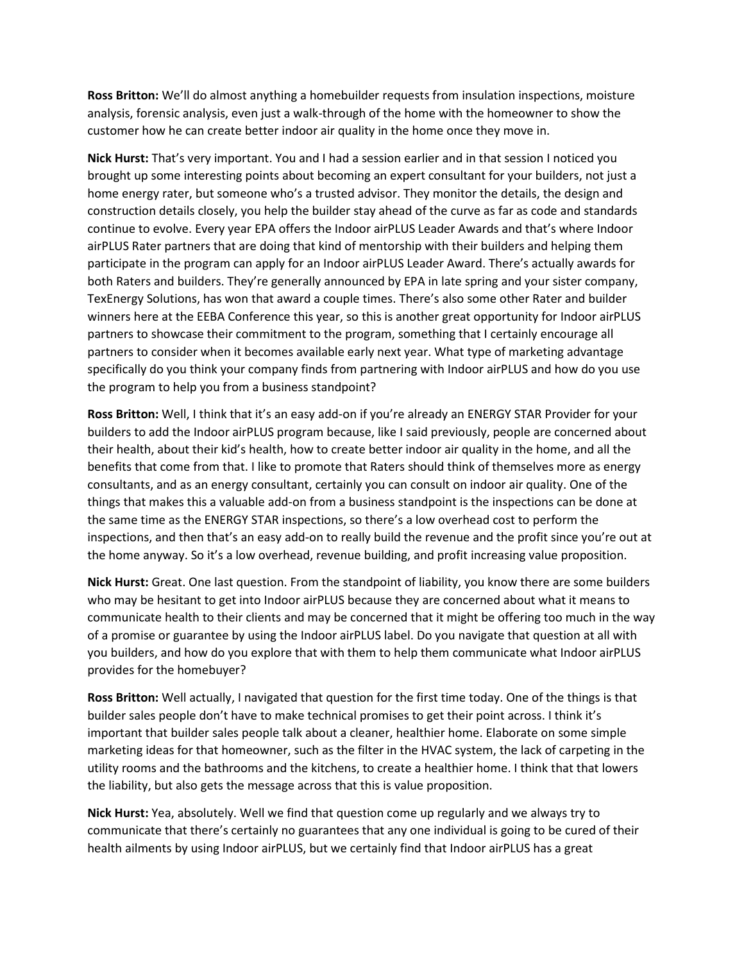**Ross Britton:** We'll do almost anything a homebuilder requests from insulation inspections, moisture analysis, forensic analysis, even just a walk-through of the home with the homeowner to show the customer how he can create better indoor air quality in the home once they move in.

**Nick Hurst:** That's very important. You and I had a session earlier and in that session I noticed you brought up some interesting points about becoming an expert consultant for your builders, not just a home energy rater, but someone who's a trusted advisor. They monitor the details, the design and construction details closely, you help the builder stay ahead of the curve as far as code and standards continue to evolve. Every year EPA offers the Indoor airPLUS Leader Awards and that's where Indoor airPLUS Rater partners that are doing that kind of mentorship with their builders and helping them participate in the program can apply for an Indoor airPLUS Leader Award. There's actually awards for both Raters and builders. They're generally announced by EPA in late spring and your sister company, TexEnergy Solutions, has won that award a couple times. There's also some other Rater and builder winners here at the EEBA Conference this year, so this is another great opportunity for Indoor airPLUS partners to showcase their commitment to the program, something that I certainly encourage all partners to consider when it becomes available early next year. What type of marketing advantage specifically do you think your company finds from partnering with Indoor airPLUS and how do you use the program to help you from a business standpoint?

**Ross Britton:** Well, I think that it's an easy add-on if you're already an ENERGY STAR Provider for your builders to add the Indoor airPLUS program because, like I said previously, people are concerned about their health, about their kid's health, how to create better indoor air quality in the home, and all the benefits that come from that. I like to promote that Raters should think of themselves more as energy consultants, and as an energy consultant, certainly you can consult on indoor air quality. One of the things that makes this a valuable add-on from a business standpoint is the inspections can be done at the same time as the ENERGY STAR inspections, so there's a low overhead cost to perform the inspections, and then that's an easy add-on to really build the revenue and the profit since you're out at the home anyway. So it's a low overhead, revenue building, and profit increasing value proposition.

**Nick Hurst:** Great. One last question. From the standpoint of liability, you know there are some builders who may be hesitant to get into Indoor airPLUS because they are concerned about what it means to communicate health to their clients and may be concerned that it might be offering too much in the way of a promise or guarantee by using the Indoor airPLUS label. Do you navigate that question at all with you builders, and how do you explore that with them to help them communicate what Indoor airPLUS provides for the homebuyer?

**Ross Britton:** Well actually, I navigated that question for the first time today. One of the things is that builder sales people don't have to make technical promises to get their point across. I think it's important that builder sales people talk about a cleaner, healthier home. Elaborate on some simple marketing ideas for that homeowner, such as the filter in the HVAC system, the lack of carpeting in the utility rooms and the bathrooms and the kitchens, to create a healthier home. I think that that lowers the liability, but also gets the message across that this is value proposition.

**Nick Hurst:** Yea, absolutely. Well we find that question come up regularly and we always try to communicate that there's certainly no guarantees that any one individual is going to be cured of their health ailments by using Indoor airPLUS, but we certainly find that Indoor airPLUS has a great